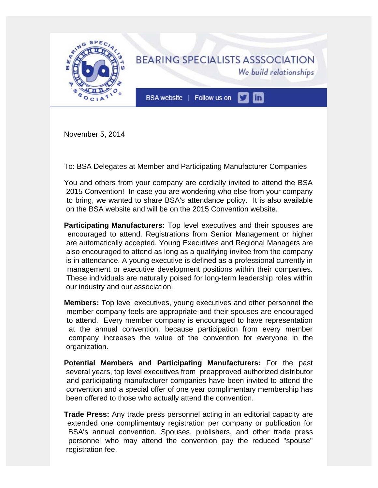

November 5, 2014

To: BSA Delegates at Member and Participating Manufacturer Companies

You and others from your company are cordially invited to attend the BSA 2015 Convention! In case you are wondering who else from your company to bring, we wanted to share BSA's attendance policy. It is also available on the BSA website and will be on the 2015 Convention website.

**Participating Manufacturers:** Top level executives and their spouses are encouraged to attend. Registrations from Senior Management or higher are automatically accepted. Young Executives and Regional Managers are also encouraged to attend as long as a qualifying invitee from the company is in attendance. A young executive is defined as a professional currently in management or executive development positions within their companies. These individuals are naturally poised for long-term leadership roles within our industry and our association.

**Members:** Top level executives, young executives and other personnel the member company feels are appropriate and their spouses are encouraged to attend. Every member company is encouraged to have representation at the annual convention, because participation from every member company increases the value of the convention for everyone in the organization.

**Potential Members and Participating Manufacturers:** For the past several years, top level executives from preapproved authorized distributor and participating manufacturer companies have been invited to attend the convention and a special offer of one year complimentary membership has been offered to those who actually attend the convention.

**Trade Press:** Any trade press personnel acting in an editorial capacity are extended one complimentary registration per company or publication for BSA's annual convention. Spouses, publishers, and other trade press personnel who may attend the convention pay the reduced "spouse" registration fee.